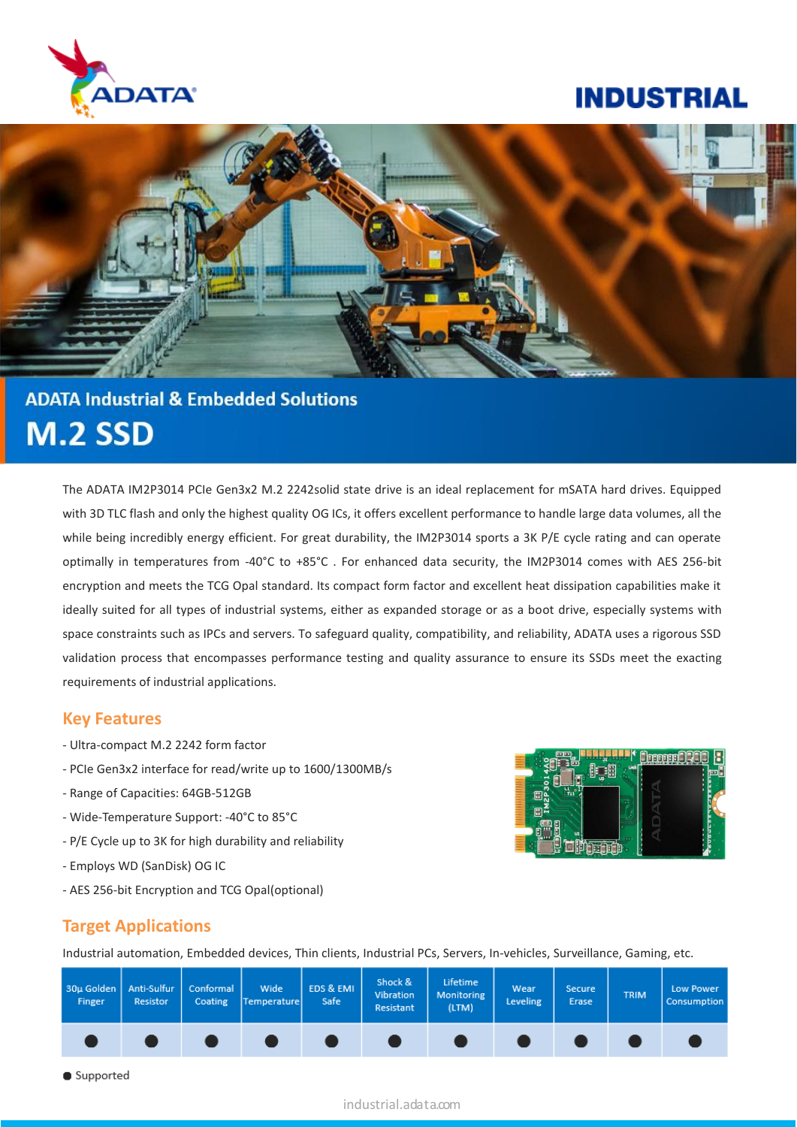

# **INDUSTRIAL**



# **ADATA Industrial & Embedded Solutions M.2 SSD**

The ADATA IM2P3014 PCIe Gen3x2 M.2 2242solid state drive is an ideal replacement for mSATA hard drives. Equipped with 3D TLC flash and only the highest quality OG ICs, it offers excellent performance to handle large data volumes, all the while being incredibly energy efficient. For great durability, the IM2P3014 sports a 3K P/E cycle rating and can operate optimally in temperatures from -40°C to +85°C . For enhanced data security, the IM2P3014 comes with AES 256-bit encryption and meets the TCG Opal standard. Its compact form factor and excellent heat dissipation capabilities make it ideally suited for all types of industrial systems, either as expanded storage or as a boot drive, especially systems with space constraints such as IPCs and servers. To safeguard quality, compatibility, and reliability, ADATA uses a rigorous SSD validation process that encompasses performance testing and quality assurance to ensure its SSDs meet the exacting requirements of industrial applications.

### **Key Features**

- Ultra-compact M.2 2242 form factor
- PCIe Gen3x2 interface for read/write up to 1600/1300MB/s
- Range of Capacities: 64GB-512GB
- Wide-Temperature Support: -40°C to 85°C
- P/E Cycle up to 3K for high durability and reliability
- Employs WD (SanDisk) OG IC
- AES 256-bit Encryption and TCG Opal(optional)



### **Target Applications**

Industrial automation, Embedded devices, Thin clients, Industrial PCs, Servers, In-vehicles, Surveillance, Gaming, etc.

| 30µ Golden   Anti-Sulfur<br>Finger | <b>Resistor</b> | Conformal<br>Coating | <b>Wide</b><br>Temperature | EDS & EMI<br>Safe | Shock &<br>Vibration<br>Resistant | Lifetime<br>Monitoring<br>(LTM) | Wear<br><b>Leveling</b> | <b>Secure</b><br>Erase | <b>TRIM</b> | Low Power<br>Consumption |
|------------------------------------|-----------------|----------------------|----------------------------|-------------------|-----------------------------------|---------------------------------|-------------------------|------------------------|-------------|--------------------------|
|                                    |                 |                      |                            |                   |                                   |                                 |                         |                        |             |                          |

Supported

#### industrial.adata.com